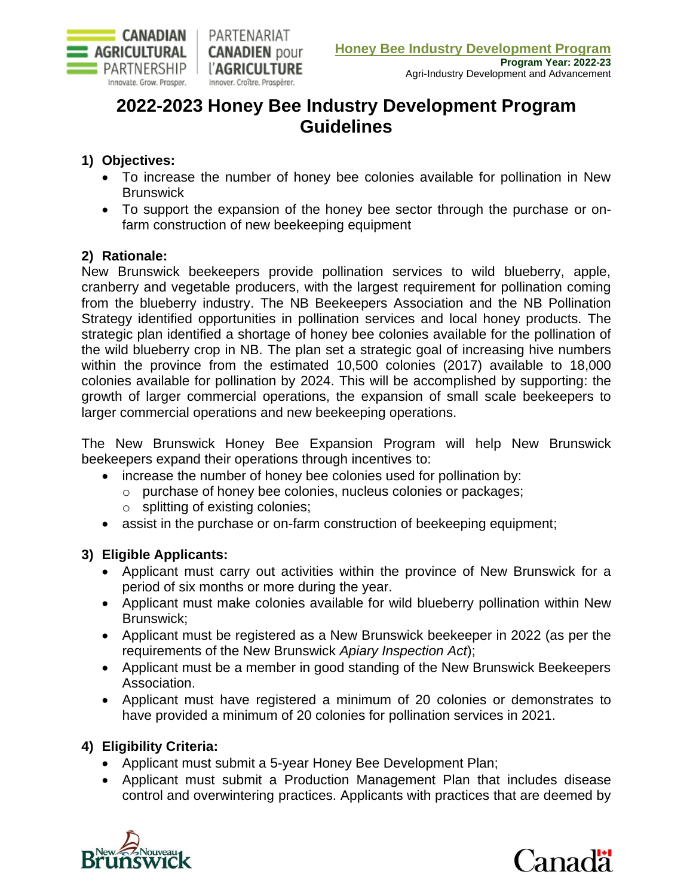

# **2022-2023 Honey Bee Industry Development Program Guidelines**

# **1) Objectives:**

- To increase the number of honey bee colonies available for pollination in New **Brunswick**
- To support the expansion of the honey bee sector through the purchase or onfarm construction of new beekeeping equipment

# **2) Rationale:**

New Brunswick beekeepers provide pollination services to wild blueberry, apple, cranberry and vegetable producers, with the largest requirement for pollination coming from the blueberry industry. The NB Beekeepers Association and the NB Pollination Strategy identified opportunities in pollination services and local honey products. The strategic plan identified a shortage of honey bee colonies available for the pollination of the wild blueberry crop in NB. The plan set a strategic goal of increasing hive numbers within the province from the estimated 10,500 colonies (2017) available to 18,000 colonies available for pollination by 2024. This will be accomplished by supporting: the growth of larger commercial operations, the expansion of small scale beekeepers to larger commercial operations and new beekeeping operations.

The New Brunswick Honey Bee Expansion Program will help New Brunswick beekeepers expand their operations through incentives to:

- increase the number of honey bee colonies used for pollination by:
	- o purchase of honey bee colonies, nucleus colonies or packages;
	- o splitting of existing colonies;
- assist in the purchase or on-farm construction of beekeeping equipment;

# **3) Eligible Applicants:**

- Applicant must carry out activities within the province of New Brunswick for a period of six months or more during the year.
- Applicant must make colonies available for wild blueberry pollination within New Brunswick;
- Applicant must be registered as a New Brunswick beekeeper in 2022 (as per the requirements of the New Brunswick *Apiary Inspection Act*);
- Applicant must be a member in good standing of the New Brunswick Beekeepers Association.
- Applicant must have registered a minimum of 20 colonies or demonstrates to have provided a minimum of 20 colonies for pollination services in 2021.

# **4) Eligibility Criteria:**

- Applicant must submit a 5-year Honey Bee Development Plan;
- Applicant must submit a Production Management Plan that includes disease control and overwintering practices. Applicants with practices that are deemed by



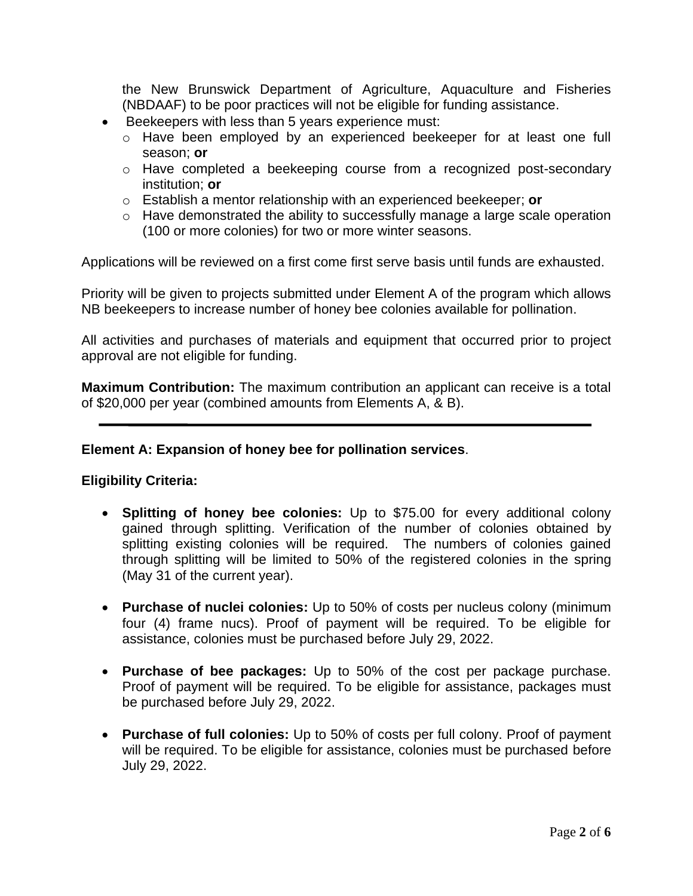the New Brunswick Department of Agriculture, Aquaculture and Fisheries (NBDAAF) to be poor practices will not be eligible for funding assistance.

- Beekeepers with less than 5 years experience must:
	- o Have been employed by an experienced beekeeper for at least one full season; **or**
	- o Have completed a beekeeping course from a recognized post-secondary institution; **or**
	- o Establish a mentor relationship with an experienced beekeeper; **or**
	- o Have demonstrated the ability to successfully manage a large scale operation (100 or more colonies) for two or more winter seasons.

Applications will be reviewed on a first come first serve basis until funds are exhausted.

Priority will be given to projects submitted under Element A of the program which allows NB beekeepers to increase number of honey bee colonies available for pollination.

All activities and purchases of materials and equipment that occurred prior to project approval are not eligible for funding.

**Maximum Contribution:** The maximum contribution an applicant can receive is a total of \$20,000 per year (combined amounts from Elements A, & B).

#### **Element A: Expansion of honey bee for pollination services**.

### **Eligibility Criteria:**

- **Splitting of honey bee colonies:** Up to \$75.00 for every additional colony gained through splitting. Verification of the number of colonies obtained by splitting existing colonies will be required. The numbers of colonies gained through splitting will be limited to 50% of the registered colonies in the spring (May 31 of the current year).
- **Purchase of nuclei colonies:** Up to 50% of costs per nucleus colony (minimum four (4) frame nucs). Proof of payment will be required. To be eligible for assistance, colonies must be purchased before July 29, 2022.
- **Purchase of bee packages:** Up to 50% of the cost per package purchase. Proof of payment will be required. To be eligible for assistance, packages must be purchased before July 29, 2022.
- **Purchase of full colonies:** Up to 50% of costs per full colony. Proof of payment will be required. To be eligible for assistance, colonies must be purchased before July 29, 2022.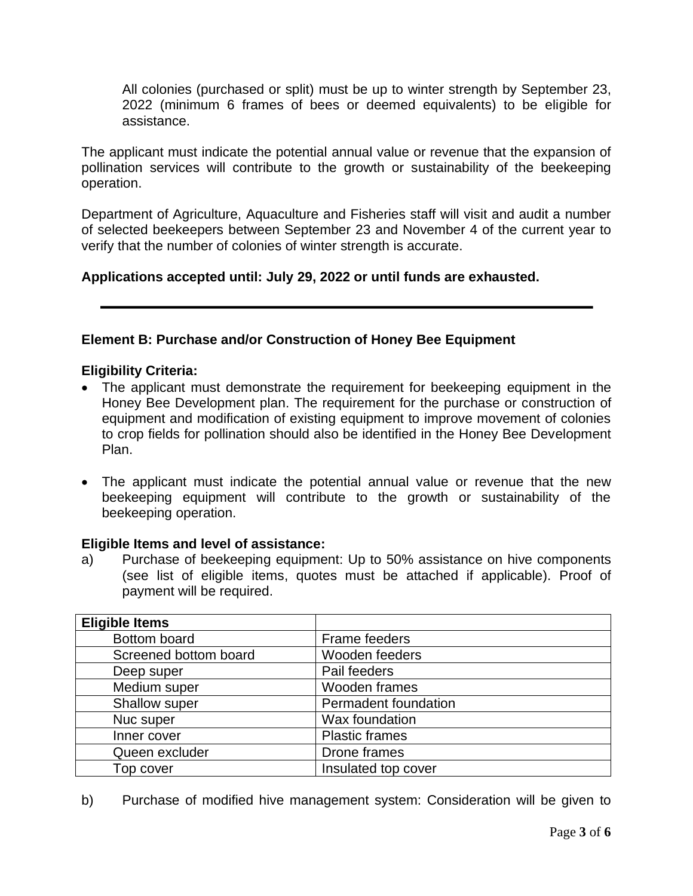All colonies (purchased or split) must be up to winter strength by September 23, 2022 (minimum 6 frames of bees or deemed equivalents) to be eligible for assistance.

The applicant must indicate the potential annual value or revenue that the expansion of pollination services will contribute to the growth or sustainability of the beekeeping operation.

Department of Agriculture, Aquaculture and Fisheries staff will visit and audit a number of selected beekeepers between September 23 and November 4 of the current year to verify that the number of colonies of winter strength is accurate.

# **Applications accepted until: July 29, 2022 or until funds are exhausted.**

# **Element B: Purchase and/or Construction of Honey Bee Equipment**

### **Eligibility Criteria:**

- The applicant must demonstrate the requirement for beekeeping equipment in the Honey Bee Development plan. The requirement for the purchase or construction of equipment and modification of existing equipment to improve movement of colonies to crop fields for pollination should also be identified in the Honey Bee Development Plan.
- The applicant must indicate the potential annual value or revenue that the new beekeeping equipment will contribute to the growth or sustainability of the beekeeping operation.

# **Eligible Items and level of assistance:**

a) Purchase of beekeeping equipment: Up to 50% assistance on hive components (see list of eligible items, quotes must be attached if applicable). Proof of payment will be required.

| <b>Eligible Items</b> |                       |
|-----------------------|-----------------------|
| Bottom board          | Frame feeders         |
| Screened bottom board | Wooden feeders        |
| Deep super            | Pail feeders          |
| Medium super          | Wooden frames         |
| Shallow super         | Permadent foundation  |
| Nuc super             | Wax foundation        |
| Inner cover           | <b>Plastic frames</b> |
| Queen excluder        | Drone frames          |
| Top cover             | Insulated top cover   |

b) Purchase of modified hive management system: Consideration will be given to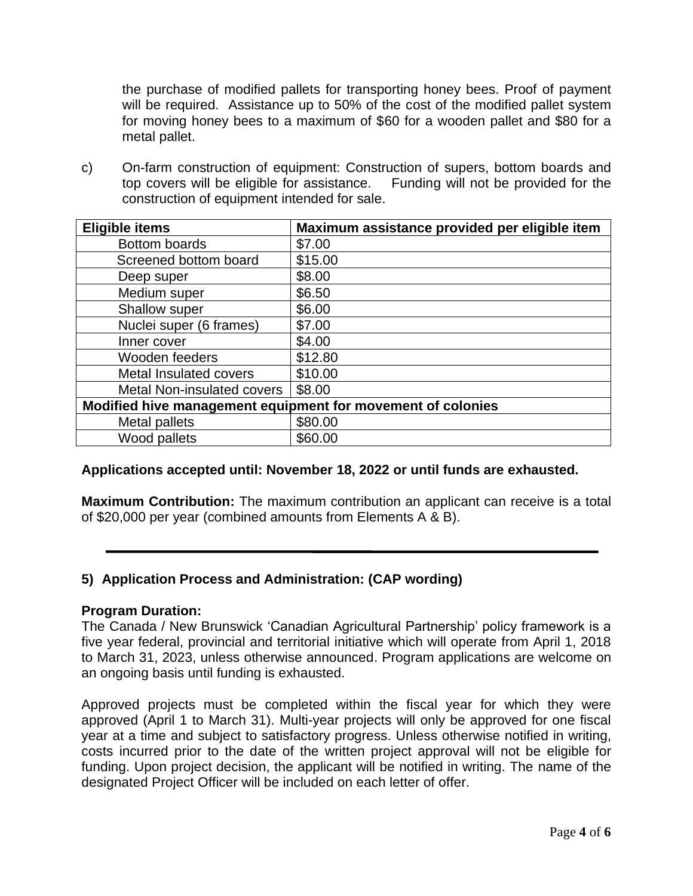the purchase of modified pallets for transporting honey bees. Proof of payment will be required. Assistance up to 50% of the cost of the modified pallet system for moving honey bees to a maximum of \$60 for a wooden pallet and \$80 for a metal pallet.

c) On-farm construction of equipment: Construction of supers, bottom boards and top covers will be eligible for assistance. Funding will not be provided for the top covers will be eligible for assistance. construction of equipment intended for sale.

| <b>Eligible items</b>                                       | Maximum assistance provided per eligible item |
|-------------------------------------------------------------|-----------------------------------------------|
| <b>Bottom boards</b>                                        | \$7.00                                        |
| Screened bottom board                                       | \$15.00                                       |
| Deep super                                                  | \$8.00                                        |
| Medium super                                                | \$6.50                                        |
| Shallow super                                               | \$6.00                                        |
| Nuclei super (6 frames)                                     | \$7.00                                        |
| Inner cover                                                 | \$4.00                                        |
| Wooden feeders                                              | \$12.80                                       |
| <b>Metal Insulated covers</b>                               | \$10.00                                       |
| <b>Metal Non-insulated covers</b>                           | \$8.00                                        |
| Modified hive management equipment for movement of colonies |                                               |
| Metal pallets                                               | \$80.00                                       |
| Wood pallets                                                | \$60.00                                       |

# **Applications accepted until: November 18, 2022 or until funds are exhausted.**

**Maximum Contribution:** The maximum contribution an applicant can receive is a total of \$20,000 per year (combined amounts from Elements A & B).

# **5) Application Process and Administration: (CAP wording)**

### **Program Duration:**

The Canada / New Brunswick 'Canadian Agricultural Partnership' policy framework is a five year federal, provincial and territorial initiative which will operate from April 1, 2018 to March 31, 2023, unless otherwise announced. Program applications are welcome on an ongoing basis until funding is exhausted.

Approved projects must be completed within the fiscal year for which they were approved (April 1 to March 31). Multi-year projects will only be approved for one fiscal year at a time and subject to satisfactory progress. Unless otherwise notified in writing, costs incurred prior to the date of the written project approval will not be eligible for funding. Upon project decision, the applicant will be notified in writing. The name of the designated Project Officer will be included on each letter of offer.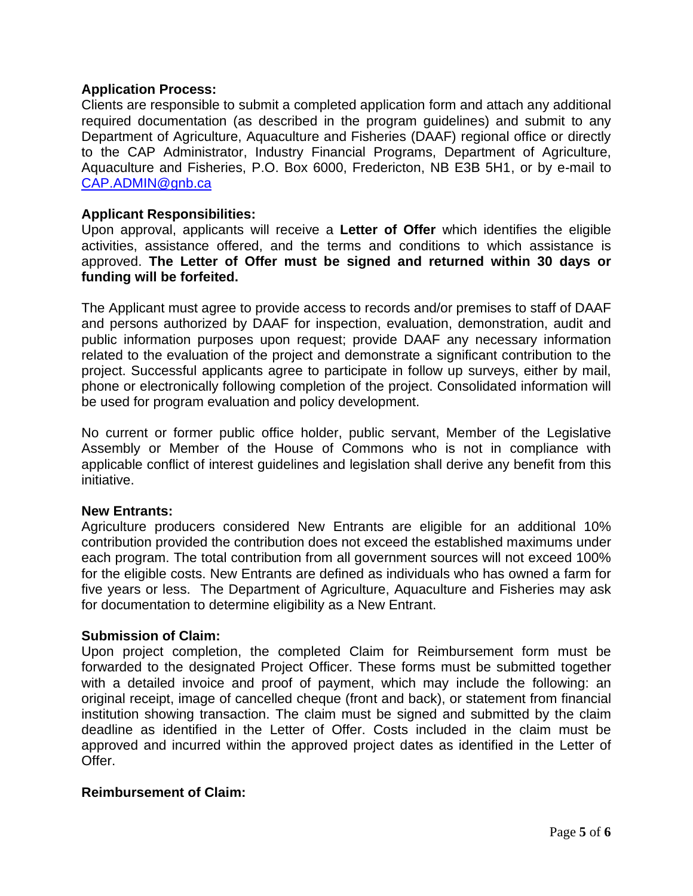### **Application Process:**

Clients are responsible to submit a completed application form and attach any additional required documentation (as described in the program guidelines) and submit to any Department of Agriculture, Aquaculture and Fisheries (DAAF) regional office or directly to the CAP Administrator, Industry Financial Programs, Department of Agriculture, Aquaculture and Fisheries, P.O. Box 6000, Fredericton, NB E3B 5H1, or by e-mail to [CAP.ADMIN@gnb.ca](mailto:CAP.ADMIN@gnb.ca)

### **Applicant Responsibilities:**

Upon approval, applicants will receive a **Letter of Offer** which identifies the eligible activities, assistance offered, and the terms and conditions to which assistance is approved. **The Letter of Offer must be signed and returned within 30 days or funding will be forfeited.**

The Applicant must agree to provide access to records and/or premises to staff of DAAF and persons authorized by DAAF for inspection, evaluation, demonstration, audit and public information purposes upon request; provide DAAF any necessary information related to the evaluation of the project and demonstrate a significant contribution to the project. Successful applicants agree to participate in follow up surveys, either by mail, phone or electronically following completion of the project. Consolidated information will be used for program evaluation and policy development.

No current or former public office holder, public servant, Member of the Legislative Assembly or Member of the House of Commons who is not in compliance with applicable conflict of interest guidelines and legislation shall derive any benefit from this initiative.

### **New Entrants:**

Agriculture producers considered New Entrants are eligible for an additional 10% contribution provided the contribution does not exceed the established maximums under each program. The total contribution from all government sources will not exceed 100% for the eligible costs. New Entrants are defined as individuals who has owned a farm for five years or less. The Department of Agriculture, Aquaculture and Fisheries may ask for documentation to determine eligibility as a New Entrant.

### **Submission of Claim:**

Upon project completion, the completed Claim for Reimbursement form must be forwarded to the designated Project Officer. These forms must be submitted together with a detailed invoice and proof of payment, which may include the following: an original receipt, image of cancelled cheque (front and back), or statement from financial institution showing transaction. The claim must be signed and submitted by the claim deadline as identified in the Letter of Offer. Costs included in the claim must be approved and incurred within the approved project dates as identified in the Letter of Offer.

### **Reimbursement of Claim:**